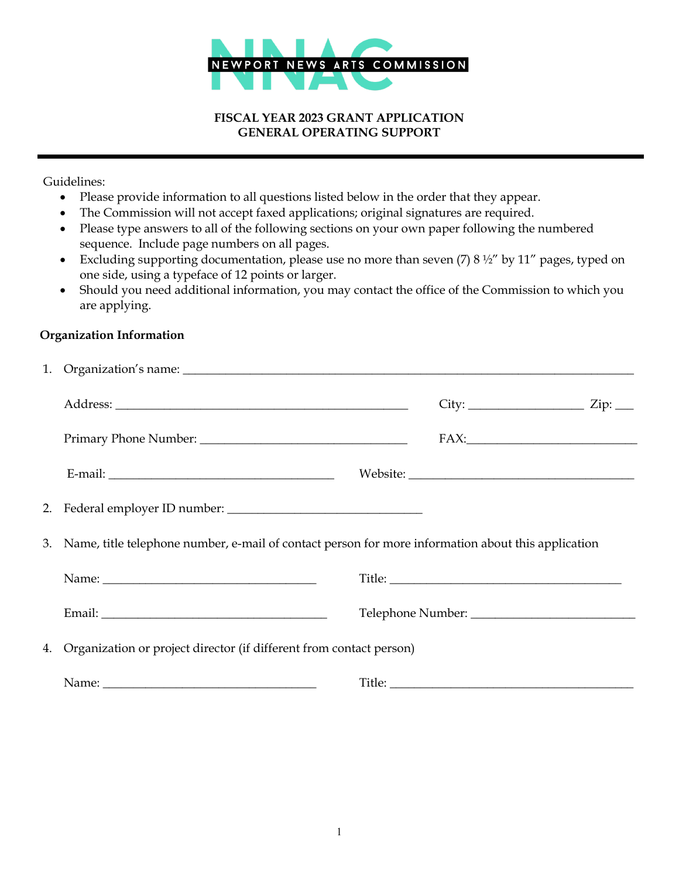

#### **FISCAL YEAR 2023 GRANT APPLICATION GENERAL OPERATING SUPPORT**

Guidelines:

- Please provide information to all questions listed below in the order that they appear.
- The Commission will not accept faxed applications; original signatures are required.
- Please type answers to all of the following sections on your own paper following the numbered sequence. Include page numbers on all pages.
- Excluding supporting documentation, please use no more than seven (7) 8 1/2" by 11" pages, typed on one side, using a typeface of 12 points or larger.
- Should you need additional information, you may contact the office of the Commission to which you are applying.

## **Organization Information**

|                                                                                                                                                                                                                               |  | $City:$ $Zip:$ $Zip:$ $\Box$ |  |  |  |
|-------------------------------------------------------------------------------------------------------------------------------------------------------------------------------------------------------------------------------|--|------------------------------|--|--|--|
|                                                                                                                                                                                                                               |  | $FAX:$                       |  |  |  |
|                                                                                                                                                                                                                               |  |                              |  |  |  |
|                                                                                                                                                                                                                               |  |                              |  |  |  |
| 3. Name, title telephone number, e-mail of contact person for more information about this application                                                                                                                         |  |                              |  |  |  |
|                                                                                                                                                                                                                               |  |                              |  |  |  |
|                                                                                                                                                                                                                               |  |                              |  |  |  |
| 4. Organization or project director (if different from contact person)                                                                                                                                                        |  |                              |  |  |  |
| Name: Name: Name: Name: Name: Name: Name: Name: Name: Name: Name: Name: Name: Name: Name: Name: Name: Name: Name: Name: Name: Name: Name: Name: Name: Name: Name: Name: Name: Name: Name: Name: Name: Name: Name: Name: Name: |  |                              |  |  |  |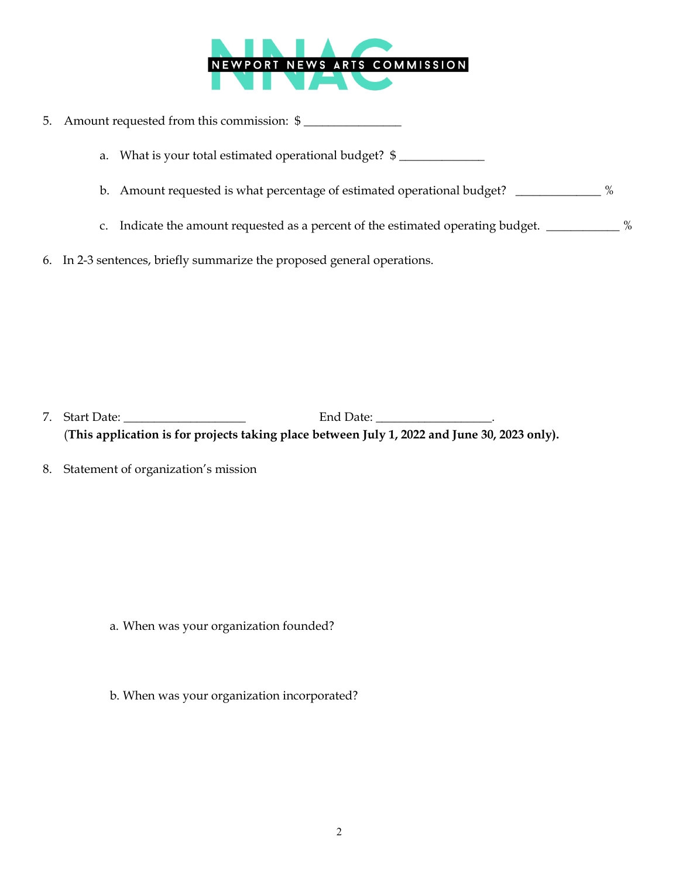

|                                                        | 5. Amount requested from this commission: \$                                                    |  |
|--------------------------------------------------------|-------------------------------------------------------------------------------------------------|--|
| a. What is your total estimated operational budget? \$ |                                                                                                 |  |
|                                                        | %<br>b. Amount requested is what percentage of estimated operational budget?                    |  |
|                                                        | c. Indicate the amount requested as a percent of the estimated operating budget. ____________ % |  |
|                                                        | 6. In 2-3 sentences, briefly summarize the proposed general operations.                         |  |

 7. Start Date: \_\_\_\_\_\_\_\_\_\_\_\_\_\_\_\_\_\_\_\_ End Date: \_\_\_\_\_\_\_\_\_\_\_\_\_\_\_\_\_\_\_. (**This application is for projects taking place between July 1, 2022 and June 30, 2023 only).** 

8. Statement of organization's mission

a. When was your organization founded?

b. When was your organization incorporated?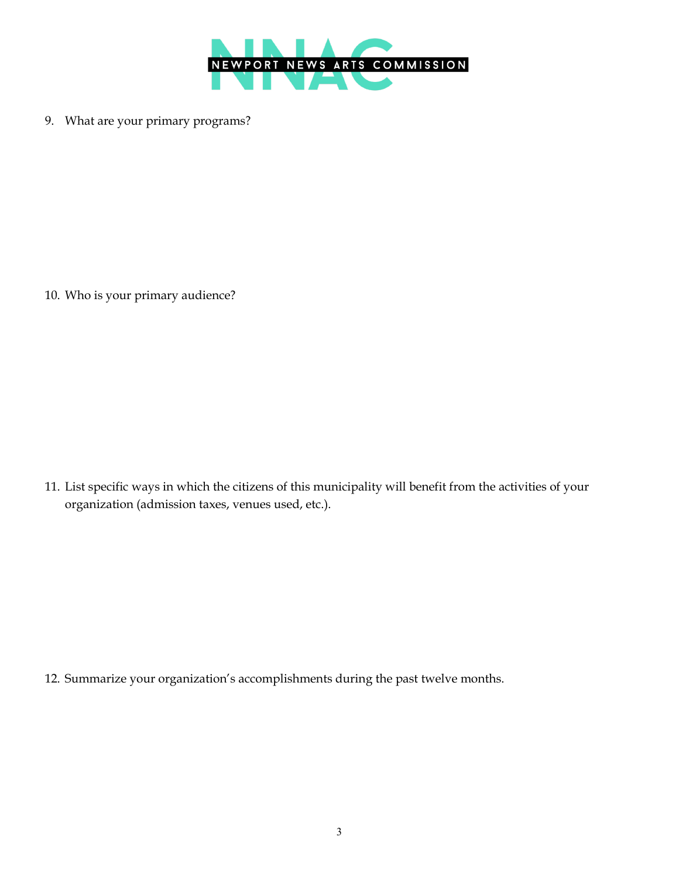

9. What are your primary programs?

10. Who is your primary audience?

11. List specific ways in which the citizens of this municipality will benefit from the activities of your organization (admission taxes, venues used, etc.).

12. Summarize your organization's accomplishments during the past twelve months.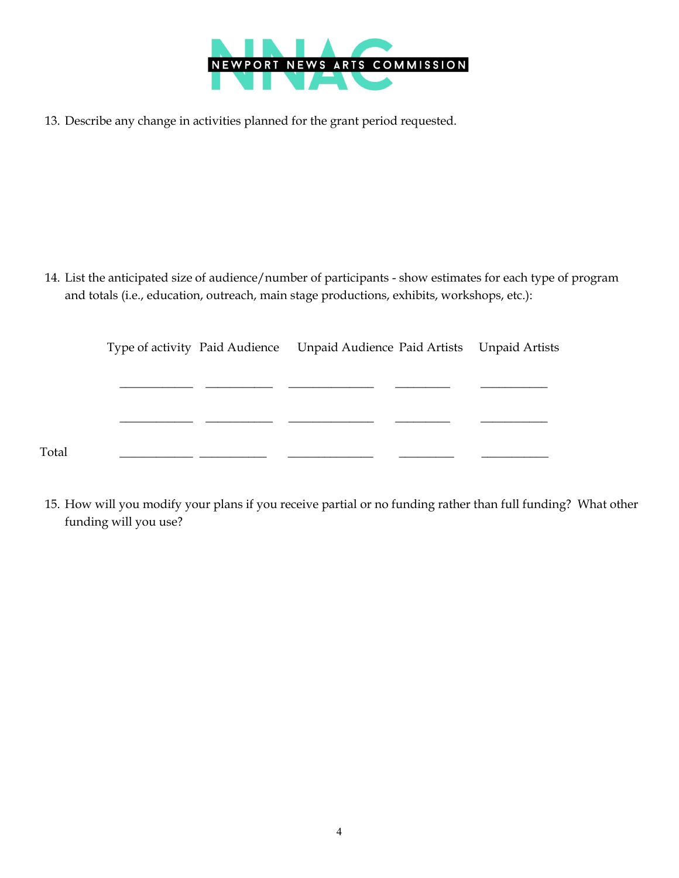

13. Describe any change in activities planned for the grant period requested.

14. List the anticipated size of audience/number of participants - show estimates for each type of program and totals (i.e., education, outreach, main stage productions, exhibits, workshops, etc.):

|       | Type of activity Paid Audience Unpaid Audience Paid Artists Unpaid Artists |  |  |
|-------|----------------------------------------------------------------------------|--|--|
|       |                                                                            |  |  |
|       |                                                                            |  |  |
|       |                                                                            |  |  |
| Total |                                                                            |  |  |

15. How will you modify your plans if you receive partial or no funding rather than full funding? What other funding will you use?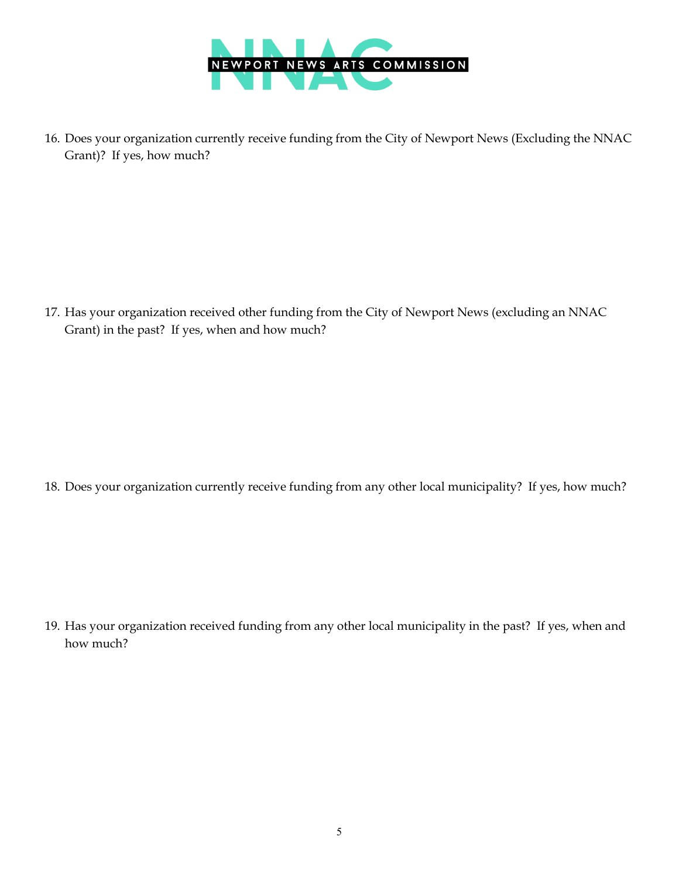

16. Does your organization currently receive funding from the City of Newport News (Excluding the NNAC Grant)? If yes, how much?

17. Has your organization received other funding from the City of Newport News (excluding an NNAC Grant) in the past? If yes, when and how much?

18. Does your organization currently receive funding from any other local municipality? If yes, how much?

19. Has your organization received funding from any other local municipality in the past? If yes, when and how much?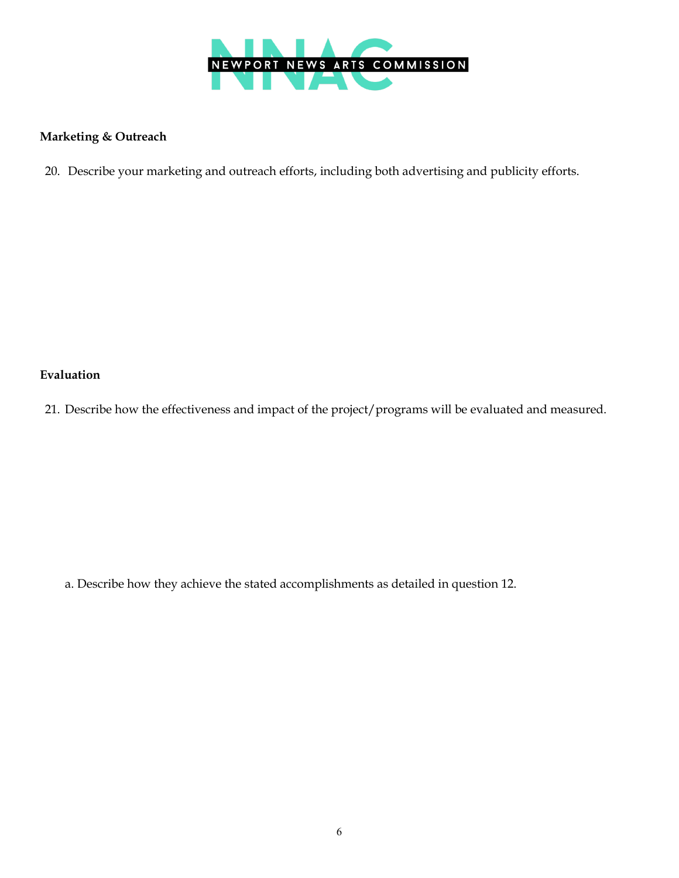

# **Marketing & Outreach**

20. Describe your marketing and outreach efforts, including both advertising and publicity efforts.

# **Evaluation**

21. Describe how the effectiveness and impact of the project/programs will be evaluated and measured.

a. Describe how they achieve the stated accomplishments as detailed in question 12.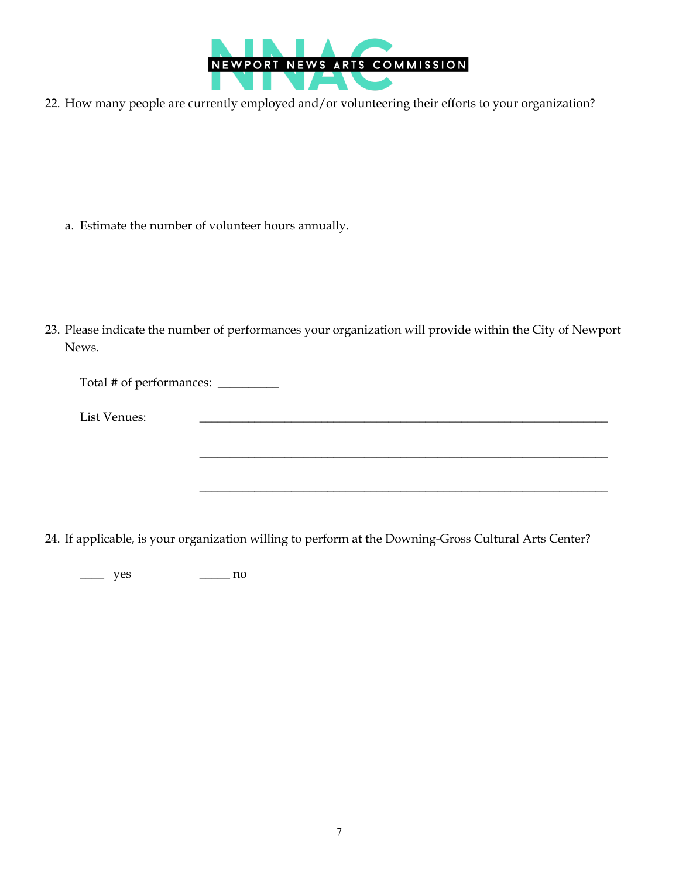

22. How many people are currently employed and/or volunteering their efforts to your organization?

a. Estimate the number of volunteer hours annually.

23. Please indicate the number of performances your organization will provide within the City of Newport News.

Total # of performances: \_\_\_\_\_\_\_\_\_\_

List Venues:

24. If applicable, is your organization willing to perform at the Downing-Gross Cultural Arts Center?

 $\frac{1}{\sqrt{2}}$  ,  $\frac{1}{\sqrt{2}}$  ,  $\frac{1}{\sqrt{2}}$  ,  $\frac{1}{\sqrt{2}}$  ,  $\frac{1}{\sqrt{2}}$  ,  $\frac{1}{\sqrt{2}}$  ,  $\frac{1}{\sqrt{2}}$  ,  $\frac{1}{\sqrt{2}}$  ,  $\frac{1}{\sqrt{2}}$  ,  $\frac{1}{\sqrt{2}}$  ,  $\frac{1}{\sqrt{2}}$  ,  $\frac{1}{\sqrt{2}}$  ,  $\frac{1}{\sqrt{2}}$  ,  $\frac{1}{\sqrt{2}}$  ,  $\frac{1}{\sqrt{2}}$ 

\_\_\_\_\_\_\_\_\_\_\_\_\_\_\_\_\_\_\_\_\_\_\_\_\_\_\_\_\_\_\_\_\_\_\_\_\_\_\_\_\_\_\_\_\_\_\_\_\_\_\_\_\_\_\_\_\_\_\_\_\_\_\_\_\_\_\_

 $\frac{\ }{\ }$  yes  $\frac{\ }{\ }$  no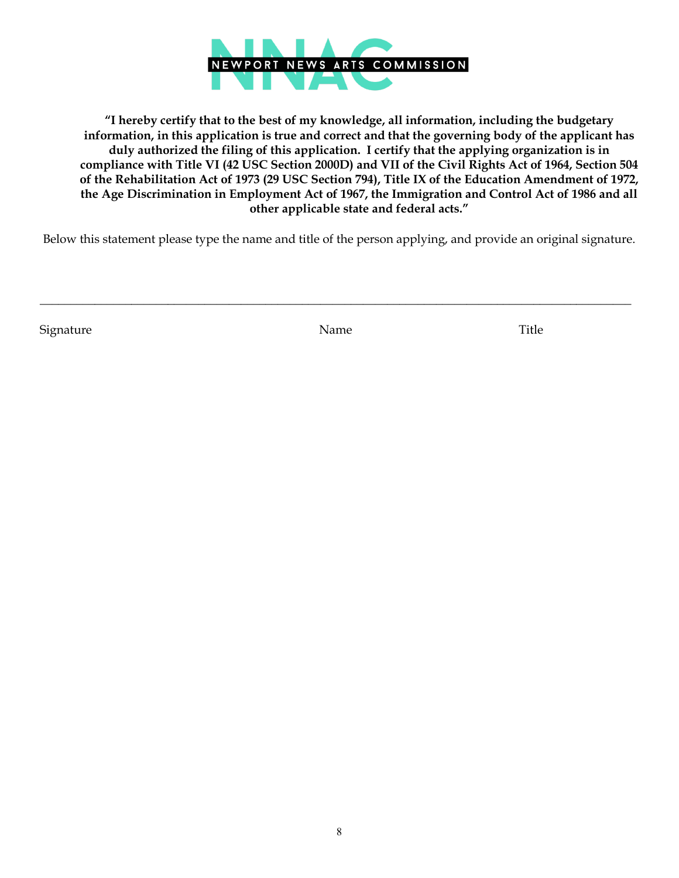

**"I hereby certify that to the best of my knowledge, all information, including the budgetary information, in this application is true and correct and that the governing body of the applicant has duly authorized the filing of this application. I certify that the applying organization is in compliance with Title VI (42 USC Section 2000D) and VII of the Civil Rights Act of 1964, Section 504 of the Rehabilitation Act of 1973 (29 USC Section 794), Title IX of the Education Amendment of 1972, the Age Discrimination in Employment Act of 1967, the Immigration and Control Act of 1986 and all other applicable state and federal acts."**

Below this statement please type the name and title of the person applying, and provide an original signature.

Signature Title

\_\_\_\_\_\_\_\_\_\_\_\_\_\_\_\_\_\_\_\_\_\_\_\_\_\_\_\_\_\_\_\_\_\_\_\_\_\_\_\_\_\_\_\_\_\_\_\_\_\_\_\_\_\_\_\_\_\_\_\_\_\_\_\_\_\_\_\_\_\_\_\_\_\_\_\_\_\_\_\_\_\_\_\_\_\_\_\_\_\_\_\_\_\_\_\_\_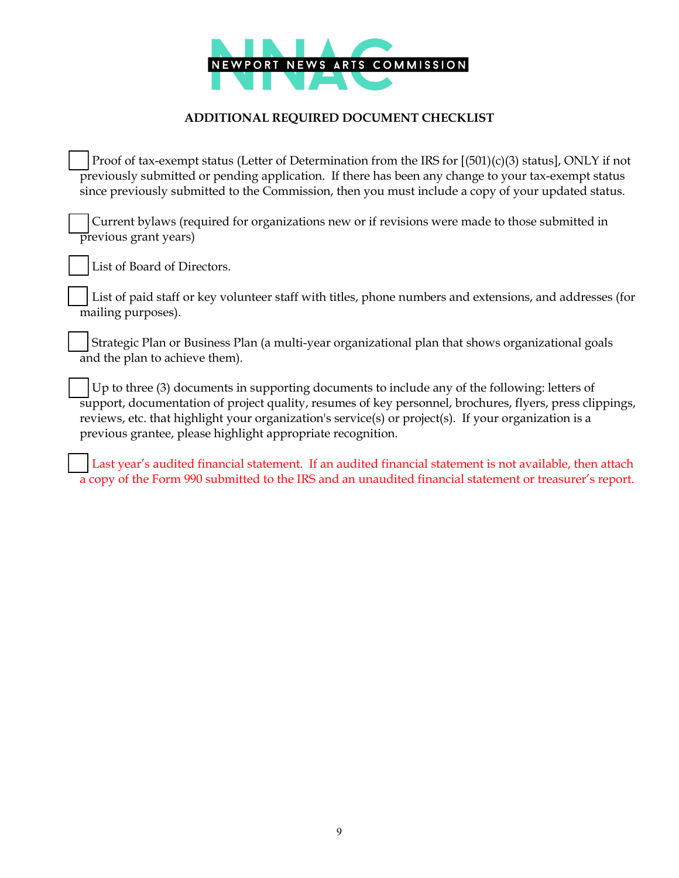

## **ADDITIONAL REQUIRED DOCUMENT CHECKLIST**

Proof of tax-exempt status (Letter of Determination from the IRS for  $[(501)(c)(3)$  status], ONLY if not previously submitted or pending application. If there has been any change to your tax-exempt status since previously submitted to the Commission, then you must include a copy of your updated status.

 Current bylaws (required for organizations new or if revisions were made to those submitted in previous grant years)

List of Board of Directors.

 List of paid staff or key volunteer staff with titles, phone numbers and extensions, and addresses (for mailing purposes).

 Strategic Plan or Business Plan (a multi-year organizational plan that shows organizational goals and the plan to achieve them).

 Up to three (3) documents in supporting documents to include any of the following: letters of support, documentation of project quality, resumes of key personnel, brochures, flyers, press clippings, reviews, etc. that highlight your organization's service(s) or project(s). If your organization is a previous grantee, please highlight appropriate recognition.

 Last year's audited financial statement. If an audited financial statement is not available, then attach a copy of the Form 990 submitted to the IRS and an unaudited financial statement or treasurer's report.